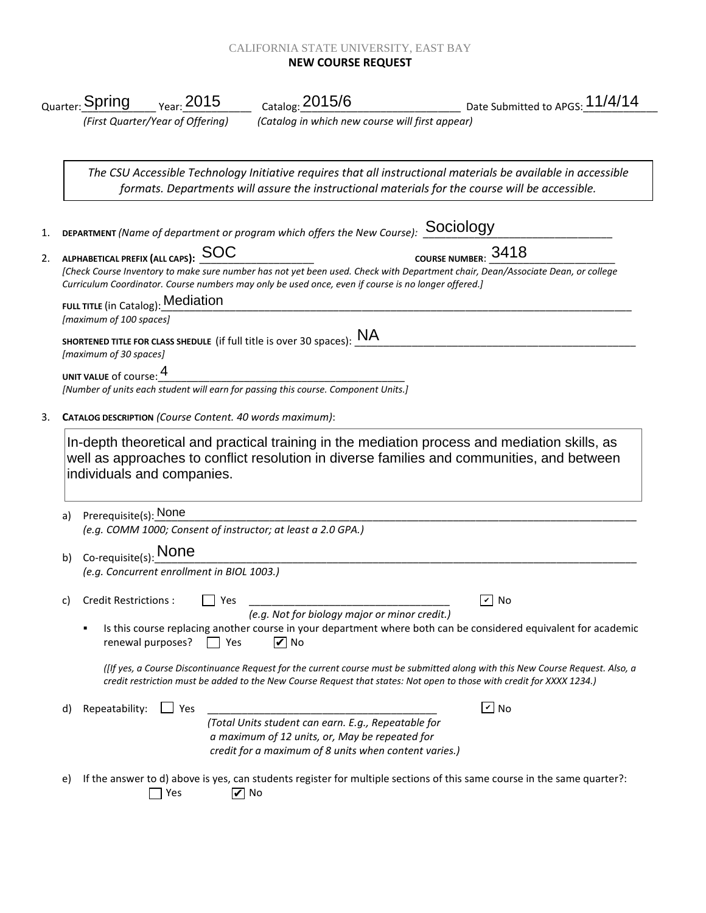## CALIFORNIA STATE UNIVERSITY, EAST BAY **NEW COURSE REQUEST**

|    | <sub>Quarter:</sub> Spring                                                                                                                                                                                                             | $\frac{\ }{2015}$ Year: $\frac{2015}{50}$               | $_{\rm Catalog:}$ 2015/6                                                                 | $\frac{1}{2}$ Date Submitted to APGS: 11/4/14                                                                                                                                                                                                           |  |  |
|----|----------------------------------------------------------------------------------------------------------------------------------------------------------------------------------------------------------------------------------------|---------------------------------------------------------|------------------------------------------------------------------------------------------|---------------------------------------------------------------------------------------------------------------------------------------------------------------------------------------------------------------------------------------------------------|--|--|
|    |                                                                                                                                                                                                                                        | (First Quarter/Year of Offering)                        | (Catalog in which new course will first appear)                                          |                                                                                                                                                                                                                                                         |  |  |
|    |                                                                                                                                                                                                                                        |                                                         |                                                                                          | The CSU Accessible Technology Initiative requires that all instructional materials be available in accessible<br>formats. Departments will assure the instructional materials for the course will be accessible.                                        |  |  |
|    |                                                                                                                                                                                                                                        |                                                         | <b>DEPARTMENT</b> (Name of department or program which offers the New Course): SOCIOIOGY |                                                                                                                                                                                                                                                         |  |  |
|    | COURSE NUMBER: 3418<br>ALPHABETICAL PREFIX (ALL CAPS): SOC                                                                                                                                                                             |                                                         |                                                                                          |                                                                                                                                                                                                                                                         |  |  |
|    | [Check Course Inventory to make sure number has not yet been used. Check with Department chair, Dean/Associate Dean, or college<br>Curriculum Coordinator. Course numbers may only be used once, even if course is no longer offered.] |                                                         |                                                                                          |                                                                                                                                                                                                                                                         |  |  |
|    | [maximum of 100 spaces]                                                                                                                                                                                                                | FULL TITLE (in Catalog): Mediation                      |                                                                                          |                                                                                                                                                                                                                                                         |  |  |
|    | [maximum of 30 spaces]                                                                                                                                                                                                                 |                                                         | SHORTENED TITLE FOR CLASS SHEDULE (if full title is over 30 spaces): $NA$                |                                                                                                                                                                                                                                                         |  |  |
|    | UNIT VALUE of course: 4                                                                                                                                                                                                                |                                                         |                                                                                          |                                                                                                                                                                                                                                                         |  |  |
|    |                                                                                                                                                                                                                                        |                                                         | [Number of units each student will earn for passing this course. Component Units.]       |                                                                                                                                                                                                                                                         |  |  |
|    |                                                                                                                                                                                                                                        | CATALOG DESCRIPTION (Course Content. 40 words maximum): |                                                                                          |                                                                                                                                                                                                                                                         |  |  |
| a) | Prerequisite(s): None                                                                                                                                                                                                                  | individuals and companies.                              |                                                                                          | well as approaches to conflict resolution in diverse families and communities, and between                                                                                                                                                              |  |  |
|    |                                                                                                                                                                                                                                        |                                                         | (e.g. COMM 1000; Consent of instructor; at least a 2.0 GPA.)                             |                                                                                                                                                                                                                                                         |  |  |
| b) | $Co$ -requisite(s): None                                                                                                                                                                                                               | (e.g. Concurrent enrollment in BIOL 1003.)              |                                                                                          |                                                                                                                                                                                                                                                         |  |  |
| C) | <b>Credit Restrictions:</b>                                                                                                                                                                                                            | Yes                                                     | (e.g. Not for biology major or minor credit.)                                            | $\mathbf v$<br>  No                                                                                                                                                                                                                                     |  |  |
|    | ٠                                                                                                                                                                                                                                      | renewal purposes?<br>Yes                                | $\triangledown$ No                                                                       | Is this course replacing another course in your department where both can be considered equivalent for academic                                                                                                                                         |  |  |
|    |                                                                                                                                                                                                                                        |                                                         |                                                                                          | (Itf yes, a Course Discontinuance Request for the current course must be submitted along with this New Course Request. Also, a<br>credit restriction must be added to the New Course Request that states: Not open to those with credit for XXXX 1234.) |  |  |
| d) | Repeatability:                                                                                                                                                                                                                         | $\Box$ Yes                                              |                                                                                          | $\boxed{\mathsf{v}}$ No                                                                                                                                                                                                                                 |  |  |
|    |                                                                                                                                                                                                                                        |                                                         | (Total Units student can earn. E.g., Repeatable for                                      |                                                                                                                                                                                                                                                         |  |  |
|    |                                                                                                                                                                                                                                        |                                                         | a maximum of 12 units, or, May be repeated for                                           |                                                                                                                                                                                                                                                         |  |  |
|    |                                                                                                                                                                                                                                        |                                                         | credit for a maximum of 8 units when content varies.)                                    |                                                                                                                                                                                                                                                         |  |  |
| e) |                                                                                                                                                                                                                                        | $\triangledown$ No<br>Yes                               |                                                                                          | If the answer to d) above is yes, can students register for multiple sections of this same course in the same quarter?:                                                                                                                                 |  |  |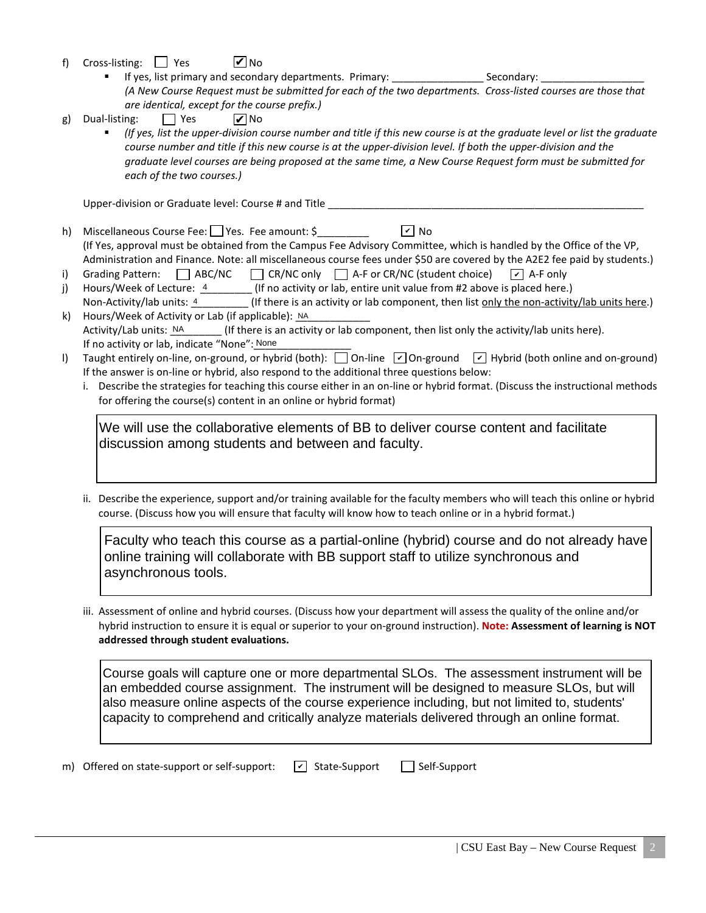- f) Cross-listing:  $\Box$  Yes **V** No
	- If yes, list primary and secondary departments. Primary: \_\_\_\_\_\_\_\_\_\_\_\_\_\_\_\_\_\_\_\_\_\_\_ Secondary: *(A New Course Request must be submitted for each of the two departments. Cross-listed courses are those that are identical, except for the course prefix.)*
- g) Dual-listing:  $\Box$  Yes **V** No
	- *(If yes, list the upper-division course number and title if this new course is at the graduate level or list the graduate course number and title if this new course is at the upper-division level. If both the upper-division and the graduate level courses are being proposed at the same time, a New Course Request form must be submitted for each of the two courses.)*

Upper-division or Graduate level: Course # and Title \_\_\_\_\_\_\_\_\_\_\_\_\_\_\_\_\_\_\_\_\_\_\_\_\_\_\_

- h) Miscellaneous Course Fee:  $\Box$  Yes. Fee amount: \$ (If Yes, approval must be obtained from the Campus Fee Advisory Committee, which is handled by the Office of the VP, Administration and Finance. Note: all miscellaneous course fees under \$50 are covered by the A2E2 fee paid by students.)  $\sqrt{v}$  No
- i) Grading Pattern:  $\Box$  ABC/NC  $\Box$  CR/NC only  $\Box$  A-F or CR/NC (student choice)  $\sqrt{\phantom{a}}$  A-F only
- j) Hours/Week of Lecture:  $\frac{4}{1}$  (If no activity or lab, entire unit value from #2 above is placed here.) Non-Activity/lab units: 4 (If there is an activity or lab component, then list only the non-activity/lab units here.)
- k) Hours/Week of Activity or Lab (if applicable):  $NA$  $\Gamma$  (If there is an activity or lab component, then list only the activity/lab units here). If no activity or lab, indicate "None": None Activity/Lab units: NA
- I) Taught entirely on-line, on-ground, or hybrid (both):  $\Box$  On-line  $\Box$  On-ground  $\Box$  Hybrid (both online and on-ground) If the answer is on-line or hybrid, also respond to the additional three questions below:
	- i. Describe the strategies for teaching this course either in an on-line or hybrid format. (Discuss the instructional methods for offering the course(s) content in an online or hybrid format)

We will use the collaborative elements of BB to deliver course content and facilitate discussion among students and between and faculty.

ii. Describe the experience, support and/or training available for the faculty members who will teach this online or hybrid course. (Discuss how you will ensure that faculty will know how to teach online or in a hybrid format.)

Faculty who teach this course as a partial-online (hybrid) course and do not already have online training will collaborate with BB support staff to utilize synchronous and asynchronous tools.

iii. Assessment of online and hybrid courses. (Discuss how your department will assess the quality of the online and/or hybrid instruction to ensure it is equal or superior to your on-ground instruction). **Note: Assessment of learning is NOT addressed through student evaluations.**

Course goals will capture one or more departmental SLOs. The assessment instrument will be an embedded course assignment. The instrument will be designed to measure SLOs, but will also measure online aspects of the course experience including, but not limited to, students' capacity to comprehend and critically analyze materials delivered through an online format.

m) Offered on state-support or self-support:  $\boxed{\phantom{s}}$  State-Support  $\boxed{\phantom{s}}$  Self-Support  $\boxed{\mathbf{v}}$  State-Support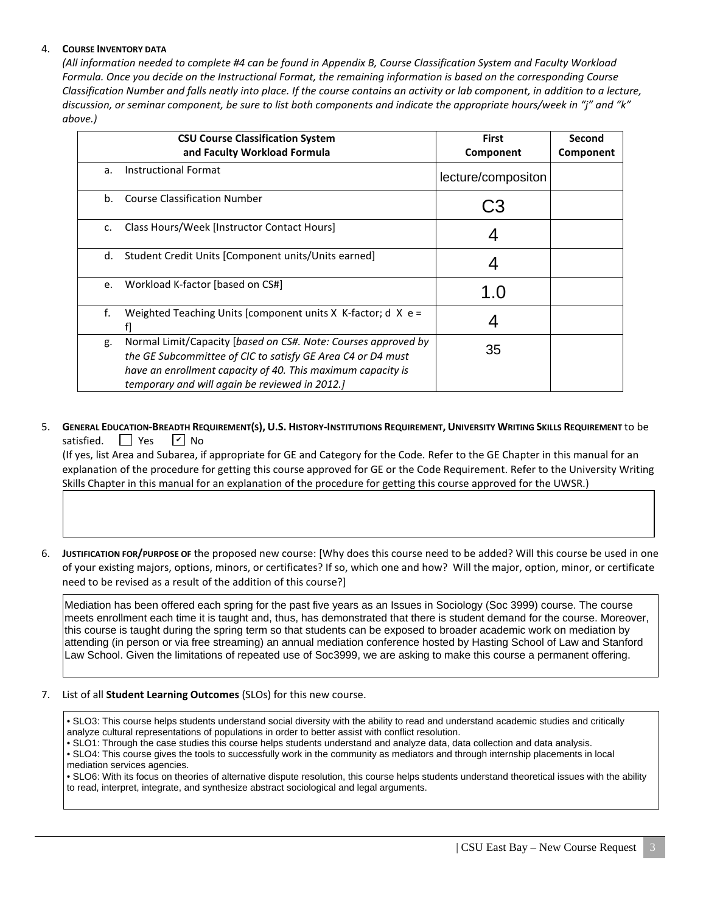## 4. **COURSE INVENTORY DATA**

*(All information needed to complete #4 can be found in Appendix B, Course Classification System and Faculty Workload Formula. Once you decide on the Instructional Format, the remaining information is based on the corresponding Course Classification Number and falls neatly into place. If the course contains an activity or lab component, in addition to a lecture, discussion, or seminar component, be sure to list both components and indicate the appropriate hours/week in "j" and "k" above.)*

|               | <b>CSU Course Classification System</b><br>and Faculty Workload Formula                                                                                                                                                                        | <b>First</b><br>Component | Second<br>Component |
|---------------|------------------------------------------------------------------------------------------------------------------------------------------------------------------------------------------------------------------------------------------------|---------------------------|---------------------|
| a.            | <b>Instructional Format</b>                                                                                                                                                                                                                    | lecture/compositon        |                     |
| b.            | <b>Course Classification Number</b>                                                                                                                                                                                                            |                           |                     |
| $C_{\bullet}$ | Class Hours/Week [Instructor Contact Hours]                                                                                                                                                                                                    |                           |                     |
| d.            | Student Credit Units [Component units/Units earned]                                                                                                                                                                                            |                           |                     |
| e.            | Workload K-factor [based on CS#]                                                                                                                                                                                                               | 1 ()                      |                     |
| f.            | Weighted Teaching Units [component units $X$ K-factor; d $X$ e =                                                                                                                                                                               |                           |                     |
| g.            | Normal Limit/Capacity [based on CS#. Note: Courses approved by<br>the GE Subcommittee of CIC to satisfy GE Area C4 or D4 must<br>have an enrollment capacity of 40. This maximum capacity is<br>temporary and will again be reviewed in 2012.] | 35                        |                     |

## 5. **GENERAL EDUCATION-BREADTH REQUIREMENT(S), U.S. HISTORY-INSTITUTIONS REQUIREMENT, UNIVERSITY WRITING SKILLS REQUIREMENT** to be satisfied.  $\Box$  Yes  $\sqrt{V}$  No

 (If yes, list Area and Subarea, if appropriate for GE and Category for the Code. Refer to the GE Chapter in this manual for an explanation of the procedure for getting this course approved for GE or the Code Requirement. Refer to the University Writing Skills Chapter in this manual for an explanation of the procedure for getting this course approved for the UWSR.)

6. **JUSTIFICATION FOR/PURPOSE OF** the proposed new course: [Why does this course need to be added? Will this course be used in one of your existing majors, options, minors, or certificates? If so, which one and how? Will the major, option, minor, or certificate need to be revised as a result of the addition of this course?]

Mediation has been offered each spring for the past five years as an Issues in Sociology (Soc 3999) course. The course meets enrollment each time it is taught and, thus, has demonstrated that there is student demand for the course. Moreover, this course is taught during the spring term so that students can be exposed to broader academic work on mediation by attending (in person or via free streaming) an annual mediation conference hosted by Hasting School of Law and Stanford Law School. Given the limitations of repeated use of Soc3999, we are asking to make this course a permanent offering.

## 7. List of all **Student Learning Outcomes** (SLOs) for this new course.

• SLO3: This course helps students understand social diversity with the ability to read and understand academic studies and critically analyze cultural representations of populations in order to better assist with conflict resolution.

• SLO1: Through the case studies this course helps students understand and analyze data, data collection and data analysis.

• SLO4: This course gives the tools to successfully work in the community as mediators and through internship placements in local mediation services agencies.

• SLO6: With its focus on theories of alternative dispute resolution, this course helps students understand theoretical issues with the ability to read, interpret, integrate, and synthesize abstract sociological and legal arguments.